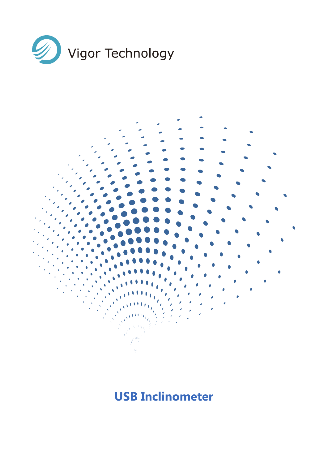



# **USB Inclinometer**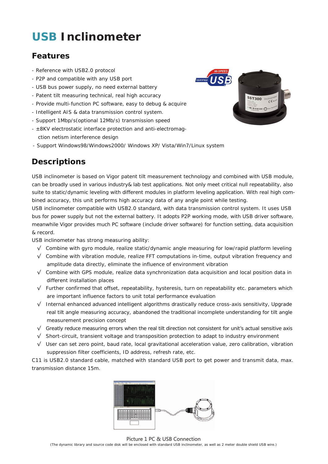# **USB Inclinometer**

### **Features**

- Reference with USB2.0 protocol
- P2P and compatible with any USB port
- USB bus power supply, no need external battery
- Patent tilt measuring technical, real high accuracy
- Provide multi-function PC software, easy to debug & acquire
- Intelligent AIS & data transmission control system.
- Support 1Mbp/s(optional 12Mb/s) transmission speed
- ±8KV electrostatic interface protection and anti-electromag- ction netism interference design
- Support Windows98/Windows2000/ Windows XP/ Vista/Win7/Linux system

## **Descriptions**

USB inclinometer is based on Vigor patent tilt measurement technology and combined with USB module, can be broadly used in various industry& lab test applications. Not only meet critical null repeatability, also suite to static/dynamic leveling with different modules in platform leveling application. With real high combined accuracy, this unit performs high accuracy data of any angle point while testing.

USB inclinometer compatible with USB2.0 standard, with data transmission control system. It uses USB bus for power supply but not the external battery. It adopts P2P working mode, with USB driver software, meanwhile Vigor provides much PC software (include driver software) for function setting, data acquisition & record.

USB inclinometer has strong measuring ability:

- √ Combine with gyro module, realize static/dynamic angle measuring for low/rapid platform leveling
- √ Combine with vibration module, realize FFT computations in-time, output vibration frequency and amplitude data directly, eliminate the influence of environment vibration
- √ Combine with GPS module, realize data synchronization data acquisition and local position data in different installation places
- √ Further confirmed that offset, repeatability, hysteresis, turn on repeatability etc. parameters which are important influence factors to unit total performance evaluation
- √ Internal enhanced advanced intelligent algorithms drastically reduce cross-axis sensitivity, Upgrade real tilt angle measuring accuracy, abandoned the traditional incomplete understanding for tilt angle measurement precision concept
- √ Greatly reduce measuring errors when the real tilt direction not consistent for unit's actual sensitive axis
- √ Short-circuit, transient voltage and transposition protection to adapt to industry environment
- √ User can set zero point, baud rate, local gravitational acceleration value, zero calibration, vibration suppression filter coefficients, ID address, refresh rate, etc.

C11 is USB2.0 standard cable, matched with standard USB port to get power and transmit data, max. transmission distance 15m.





Picture 1 PC & USB Connection (The dynamic library and source code disk will be enclosed with standard USB inclinometer, as well as 2 meter double shield USB wire.)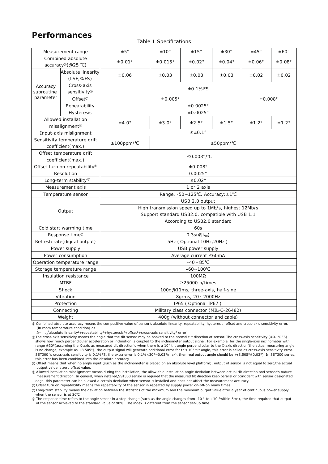#### **Performances**

#### Table 1 Specifications

|                                                |                               | ±5°                                                 | ±10°          | ±15°             | ±30°         | ±45°               | ±60°         |  |
|------------------------------------------------|-------------------------------|-----------------------------------------------------|---------------|------------------|--------------|--------------------|--------------|--|
| Measurement range<br>Combined absolute         |                               |                                                     |               |                  |              |                    |              |  |
|                                                |                               | ±0.01°                                              | $\pm 0.015$ ° | $\pm 0.02$ °     | $\pm 0.04$ ° | $\pm 0.06^{\circ}$ | ±0.08°       |  |
| $accuracy^{\circ}(\textcircled{e}25^{\circ}C)$ |                               |                                                     |               |                  |              |                    |              |  |
|                                                | Absolute linearity            | ±0.06                                               | $\pm 0.03$    | ±0.03            | ±0.03        | ±0.02              | ±0.02        |  |
|                                                | (LSF, %FS)                    |                                                     |               |                  |              |                    |              |  |
| Cross-axis<br>Accuracy                         |                               | $±0.1%$ FS                                          |               |                  |              |                    |              |  |
| subroutine<br>parameter                        | sensitivity <sup>2</sup>      |                                                     |               |                  |              |                    |              |  |
|                                                | Offset <sup>®</sup>           | ±0.005°<br>±0.008°                                  |               |                  |              |                    |              |  |
|                                                | Repeatability                 | ±0.0025°                                            |               |                  |              |                    |              |  |
| Hysteresis                                     |                               | ±0.0025°                                            |               |                  |              |                    |              |  |
| Allowed installation                           |                               | $±4.0^\circ$                                        | $±3.0^\circ$  | $±2.5^\circ$     | $±1.5^\circ$ | $±1.2^\circ$       | $±1.2^\circ$ |  |
|                                                | misalignment <sup>®</sup>     |                                                     |               |                  |              |                    |              |  |
|                                                | Input-axis mislignment        |                                                     |               | $\leq \pm 0.1$ ° |              |                    |              |  |
|                                                | Sensitivity temperature drift | ≤100ppm/°C                                          |               |                  | ≤50ppm/°C    |                    |              |  |
|                                                | coefficient (max.)            |                                                     |               |                  |              |                    |              |  |
| Offset temperature drift                       |                               |                                                     |               | ≤0.003°/°C       |              |                    |              |  |
| coefficient(max.)                              |                               |                                                     |               |                  |              |                    |              |  |
| Offset turn on repeatability <sup>®</sup>      |                               | ±0.008°                                             |               |                  |              |                    |              |  |
| Resolution                                     |                               | $0.0025^\circ$                                      |               |                  |              |                    |              |  |
| Long-term stability <sup>®</sup>               |                               | ≤0.02°                                              |               |                  |              |                    |              |  |
| Measurement axis                               |                               | 1 or 2 axis                                         |               |                  |              |                    |              |  |
| Temperature sensor                             |                               | Range, -50~125°C. Accuracy: ±1°C                    |               |                  |              |                    |              |  |
|                                                |                               | USB 2.0 output                                      |               |                  |              |                    |              |  |
|                                                |                               | High transmission speed up to 1Mb/s, highest 12Mb/s |               |                  |              |                    |              |  |
|                                                | Output                        | Support standard USB2.0, compatible with USB 1.1    |               |                  |              |                    |              |  |
|                                                |                               | According to USB2.0 standard                        |               |                  |              |                    |              |  |
| Cold start warming time                        |                               | 60s                                                 |               |                  |              |                    |              |  |
| Response time <sup>®</sup>                     |                               | $0.3s(@t_{90})$                                     |               |                  |              |                    |              |  |
| Refresh rate(digital output)                   |                               | 5Hz (Optional 10Hz, 20Hz)                           |               |                  |              |                    |              |  |
| Power supply                                   |                               | USB power supply                                    |               |                  |              |                    |              |  |
| Power consumption                              |                               | Average current ≤60mA                               |               |                  |              |                    |              |  |
| Operation temperature range                    |                               | $-40 \sim 85^{\circ}$ C                             |               |                  |              |                    |              |  |
| Storage temperature range                      |                               | $-60 - 100^{\circ}C$                                |               |                  |              |                    |              |  |
| Insulation resistance                          |                               | $100M\Omega$                                        |               |                  |              |                    |              |  |
| <b>MTBF</b>                                    |                               | ≥25000 h/times                                      |               |                  |              |                    |              |  |
| Shock                                          |                               | 100g@11ms, three-axis, half-sine                    |               |                  |              |                    |              |  |
| Vibration                                      |                               | 8qrms, 20~2000Hz                                    |               |                  |              |                    |              |  |
| Protection                                     |                               | IP65 (Optional IP67)                                |               |                  |              |                    |              |  |
| Connecting                                     |                               | Military class connector (MIL-C-26482)              |               |                  |              |                    |              |  |
| Weight                                         |                               | 400g (without connector and cable)                  |               |                  |              |                    |              |  |

① Combined absolute accuracy means the compositive value of sensor's absolute linearity, repeatability, hysteresis, offset and cross-axis sensitivity error. (in room temperature condition) as

 $\Delta$ = $\pm$   $\sqrt{ }$  absolute linearity<sup>2</sup>+repeatability<sup>2</sup>+hysteresis<sup>2</sup>+offset<sup>2</sup>+cross-axis sensitivity<sup>2</sup> error<sup>2</sup>

② The cross-axis sensitivity means the angle that the tilt sensor may be banked to the normal tilt direction of sensor. The cross-axis sensitivity (±0.1%FS) shows how much perpendicular acceleration or inclination is coupled to the inclinometer output signal. For example, for the single-axis inclinometer with range ±30°(assuming the X-axis as measured tilt direction), when there is a 10° tilt angle perpendicular to the X-axis direction(the actual measuring angle<br>is no change, example as +8.505°), the output signal will generate SST300`s cross-axis sensitivity is 0.1%FS, the extra error is 0.1%×30°=0.03°(max), then real output angle should be +(8.505°±0.03°). In SST300 series, this error has been combined into the absolute accuracy

③ Offset means that when no angle input (such as the inclinometer is placed on an absolute level platform), output of sensor is not equal to zero,the actual output value is zero offset value.

④ Allowed installation misalignment means during the installation, the allow able installation angle deviation between actual tilt direction and sensor's nature measurement direction. In general, when installed,SST300 sensor is required that the measured tilt direction keep parallel or coincident with sensor designated edge, this parameter can be allowed a certain deviation when sensor is installed and does not affect the measurement accuracy.

⑤ Offset turn on repeatability means the repeatability of the sensor in repeated by supply power on-off-on many times.

⑥ Long-term stability means the deviation between the statistics of the maximum and the minimum output value after a year of continuous power supply when the sensor is at 20℃ .

⑦ The response time refers to the angle sensor in a step change (such as the angle changes from -10 ° to +10 °within 5ms), the time required that output of the sensor achieved to the standard value of 90%. The index is different from the sensor set-up time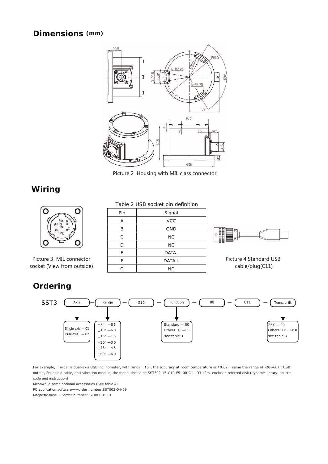#### **Dimensions (mm)**



Picture 2 Housing with MIL class connector

### **Wiring**



Picture 3 MIL connector socket (View from outside)

#### Table 2 USB socket pin definition

| Pin | Signal     |
|-----|------------|
| Α   | <b>VCC</b> |
| B   | <b>GND</b> |
| C   | <b>NC</b>  |
| D   | <b>NC</b>  |
| E   | DATA-      |
| F   | $DATA+$    |
| G   | <b>NC</b>  |



Picture 4 Standard USB cable/plug(C11)

### **Ordering**



For example, if order a dual-axis USB inclinometer, with range ±15°, the accuracy at room temperature is ±0.02°, same the range of -20~60℃, USB output, 2m shield cable, anti-vibration module, the model should be SST302-15-G10-F5 -00-C11-D3(2m, enclosed referred disk (dynamic library, source code and instruction)

Meanwhile some optional accessories (See table 4)

PC application software——order number SST003-04-09

Magnetic base——order number SST003-01-01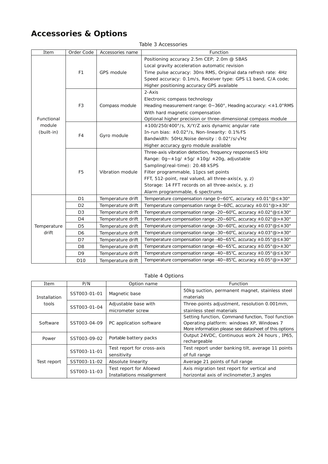## **Accessories & Options**

|  |  |  | Table 3 Accessories |
|--|--|--|---------------------|
|--|--|--|---------------------|

| Item                               | Order Code      | Accessories name  | Function                                                                                                |  |
|------------------------------------|-----------------|-------------------|---------------------------------------------------------------------------------------------------------|--|
|                                    |                 |                   | Positioning accuracy 2.5m CEP; 2.0m @ SBAS                                                              |  |
|                                    |                 |                   | Local gravity acceleration automatic revision                                                           |  |
|                                    | F <sub>1</sub>  | <b>GPS</b> module | Time pulse accuracy: 30ns RMS, Original data refresh rate: 4Hz                                          |  |
|                                    |                 |                   | Speed accuracy: 0.1m/s, Receiver type: GPS L1 band, C/A code;                                           |  |
|                                    |                 |                   | Higher positioning accuracy GPS available                                                               |  |
|                                    |                 | Compass module    | $2-Axis$                                                                                                |  |
|                                    |                 |                   | Electronic compass technology                                                                           |  |
|                                    | F <sub>3</sub>  |                   | Heading measurement range: 0~360°, Heading accuracy: <±1.0°RMS                                          |  |
| Functional<br>module<br>(built-in) |                 |                   | With hard magnetic compensation                                                                         |  |
|                                    |                 |                   | Optional higher precision or three-dimensional compass module                                           |  |
|                                    | F4              |                   | ±100/250/400°/s, X/Y/Z axis dynamic angular rate                                                        |  |
|                                    |                 | Gyro module       | In-run bias: ±0.02°/s, Non-linearity: 0.1%FS                                                            |  |
|                                    |                 |                   | Bandwidth: 50Hz, Noise density: 0.02°/s/√Hz                                                             |  |
|                                    |                 |                   | Higher accuracy gyro module available                                                                   |  |
|                                    | F <sub>5</sub>  | Vibration module  | Three-axis vibration detection, frequency response≤5 kHz                                                |  |
|                                    |                 |                   | Range: $0q - \pm 1q / \pm 5q / \pm 10q / \pm 20q$ , adjustable                                          |  |
|                                    |                 |                   | Sampling(real-time): 20.48 kSPS                                                                         |  |
|                                    |                 |                   | Filter programmable, 11pcs set points                                                                   |  |
|                                    |                 |                   | FFT, 512-point, real valued, all three-axis(x, y, z)                                                    |  |
|                                    |                 |                   | Storage: 14 FFT records on all three-axis(x, y, z)                                                      |  |
|                                    |                 |                   | Alarm programmable, 6 spectrums                                                                         |  |
|                                    | D <sub>1</sub>  | Temperature drift | Temperature compensation range $0 \sim 60^{\circ}C$ , accuracy $\pm 0.01^{\circ} @ \leq \pm 30^{\circ}$ |  |
|                                    | D <sub>2</sub>  | Temperature drift | Temperature compensation range $0 \sim 60^{\circ}C$ , accuracy $\pm 0.01^{\circ}$ @ > $\pm 30^{\circ}$  |  |
|                                    | D <sub>3</sub>  | Temperature drift | Temperature compensation range -20~60°C, accuracy $\pm$ 0.02°@ $\leq$ $\pm$ 30°                         |  |
|                                    | D <sub>4</sub>  | Temperature drift | Temperature compensation range -20~60°C, accuracy $\pm$ 0.02° $@> \pm 30°$                              |  |
| Temperature<br>drift               | D <sub>5</sub>  | Temperature drift | Temperature compensation range -30~60°C, accuracy $\pm$ 0.03° @ $\leq$ $\pm$ 30°                        |  |
|                                    | D <sub>6</sub>  | Temperature drift | Temperature compensation range -30~60°C, accuracy $\pm$ 0.03° @> $\pm$ 30°                              |  |
|                                    | D7              | Temperature drift | Temperature compensation range -40~65°C, accuracy ±0.05° @ ≤ ±30°                                       |  |
|                                    | D <sub>8</sub>  | Temperature drift | Temperature compensation range -40~65°C, accuracy $\pm$ 0.05°@> $\pm$ 30°                               |  |
|                                    | D <sub>9</sub>  | Temperature drift | Temperature compensation range -40~85°C, accuracy ±0.05°@≤±30°                                          |  |
|                                    | D <sub>10</sub> | Temperature drift | Temperature compensation range -40~85°C, accuracy ±0.05°@>±30°                                          |  |

#### Table 4 Options

| Item         | P/N          | Option name                                           | Function                                                                                                                                                |
|--------------|--------------|-------------------------------------------------------|---------------------------------------------------------------------------------------------------------------------------------------------------------|
| Installation | SST003-01-01 | Magnetic base                                         | 50kg suction, permanent magnet, stainless steel<br>materials                                                                                            |
| tools        | SST003-01-04 | Adjustable base with                                  | Three-points adjustment, resolution 0.001mm,                                                                                                            |
|              |              | micrometer screw                                      | stainless steel materials                                                                                                                               |
| Software     | SST003-04-09 | PC application software                               | Setting function, Command function, Tool function<br>Operating platform: windows XP, Windows 7<br>More information please see datasheet of this options |
| Power        | SST003-09-02 | Portable battery packs                                | Output 24VDC, Continuous work 24 hours, IP65,<br>rechargeable                                                                                           |
|              | SST003-11-01 | Test report for cross-axis<br>sensitivity             | Test report under banking tilt, average 11 points<br>of full range                                                                                      |
| Test report  | SST003-11-02 | Absolute linearity                                    | Average 21 points of full range                                                                                                                         |
|              | SST003-11-03 | Test report for Alloewd<br>Installations misalignment | Axis migration test report for vertical and<br>horizontal axis of inclinometer, 3 angles                                                                |